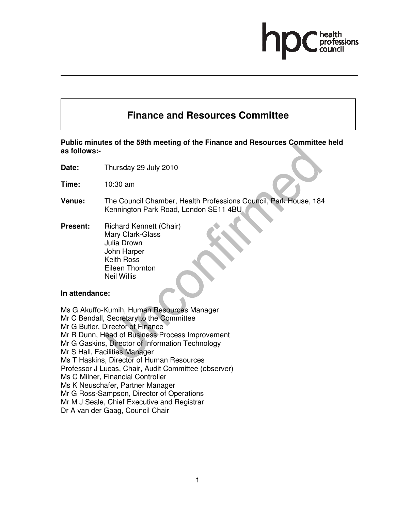# **Finance and Resources Committee**

**Public minutes of the 59th meeting of the Finance and Resources Committee held as follows:-** 

- **Date:** Thursday 29 July 2010
- **Time:** 10:30 am
- **Venue:** The Council Chamber, Health Professions Council, Park House, 184 Kennington Park Road, London SE11 4BU
- **Present:** Richard Kennett (Chair) Mary Clark-Glass Julia Drown John Harper Keith Ross Eileen Thornton Neil Willis

#### **In attendance:**

Ms G Akuffo-Kumih, Human Resources Manager Mr C Bendall, Secretary to the Committee Mr G Butler, Director of Finance Mr R Dunn, Head of Business Process Improvement Mr G Gaskins, Director of Information Technology Mr S Hall, Facilities Manager Ms T Haskins, Director of Human Resources Professor J Lucas, Chair, Audit Committee (observer) Ms C Milner, Financial Controller Ms K Neuschafer, Partner Manager Mr G Ross-Sampson, Director of Operations Mr M J Seale, Chief Executive and Registrar Dr A van der Gaag, Council Chair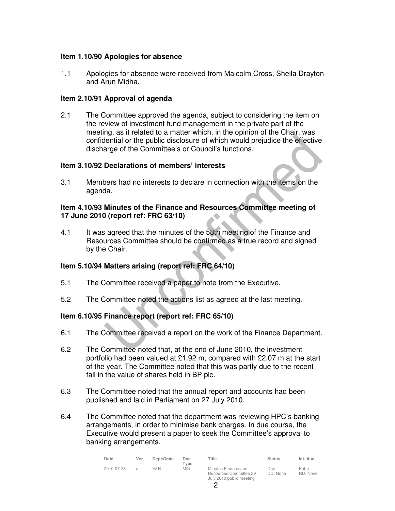#### **Item 1.10/90 Apologies for absence**

1.1 Apologies for absence were received from Malcolm Cross, Sheila Drayton and Arun Midha.

#### **Item 2.10/91 Approval of agenda**

2.1 The Committee approved the agenda, subject to considering the item on the review of investment fund management in the private part of the meeting, as it related to a matter which, in the opinion of the Chair, was confidential or the public disclosure of which would prejudice the effective discharge of the Committee's or Council's functions.

#### **Item 3.10/92 Declarations of members' interests**

3.1 Members had no interests to declare in connection with the items on the agenda.

#### **Item 4.10/93 Minutes of the Finance and Resources Committee meeting of 17 June 2010 (report ref: FRC 63/10)**

4.1 It was agreed that the minutes of the 58th meeting of the Finance and Resources Committee should be confirmed as a true record and signed by the Chair.

#### **Item 5.10/94 Matters arising (report ref: FRC 64/10)**

- 5.1 The Committee received a paper to note from the Executive.
- 5.2 The Committee noted the actions list as agreed at the last meeting.

#### **Item 6.10/95 Finance report (report ref: FRC 65/10)**

- 6.1 The Committee received a report on the work of the Finance Department.
- 6.2 The Committee noted that, at the end of June 2010, the investment portfolio had been valued at £1.92 m, compared with £2.07 m at the start of the year. The Committee noted that this was partly due to the recent fall in the value of shares held in BP plc.
- 6.3 The Committee noted that the annual report and accounts had been published and laid in Parliament on 27 July 2010.
- 6.4 The Committee noted that the department was reviewing HPC's banking arrangements, in order to minimise bank charges. In due course, the Executive would present a paper to seek the Committee's approval to banking arrangements.

| Date       | Ver.          | Dept/Cmte | Doc.<br>$T$ vpe | Title                                                                     | <b>Status</b>     | Int. Aud.                 |
|------------|---------------|-----------|-----------------|---------------------------------------------------------------------------|-------------------|---------------------------|
| 2010-07-23 | $\mathcal{A}$ | F&R       | MIN.            | Minutes Finance and<br>Resources Committee 29<br>July 2010 public meeting | Draft<br>DD: None | <b>Public</b><br>RD: None |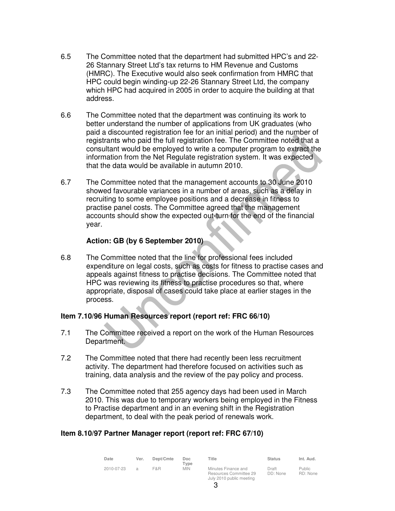- 6.5 The Committee noted that the department had submitted HPC's and 22- 26 Stannary Street Ltd's tax returns to HM Revenue and Customs (HMRC). The Executive would also seek confirmation from HMRC that HPC could begin winding-up 22-26 Stannary Street Ltd, the company which HPC had acquired in 2005 in order to acquire the building at that address.
- 6.6 The Committee noted that the department was continuing its work to better understand the number of applications from UK graduates (who paid a discounted registration fee for an initial period) and the number of registrants who paid the full registration fee. The Committee noted that a consultant would be employed to write a computer program to extract the information from the Net Regulate registration system. It was expected that the data would be available in autumn 2010.
- 6.7 The Committee noted that the management accounts to 30 June 2010 showed favourable variances in a number of areas, such as a delay in recruiting to some employee positions and a decrease in fitness to practise panel costs. The Committee agreed that the management accounts should show the expected out-turn for the end of the financial year.

#### **Action: GB (by 6 September 2010)**

6.8 The Committee noted that the line for professional fees included expenditure on legal costs, such as costs for fitness to practise cases and appeals against fitness to practise decisions. The Committee noted that HPC was reviewing its fitness to practise procedures so that, where appropriate, disposal of cases could take place at earlier stages in the process.

#### **Item 7.10/96 Human Resources report (report ref: FRC 66/10)**

- 7.1 The Committee received a report on the work of the Human Resources Department.
- 7.2 The Committee noted that there had recently been less recruitment activity. The department had therefore focused on activities such as training, data analysis and the review of the pay policy and process.
- 7.3 The Committee noted that 255 agency days had been used in March 2010. This was due to temporary workers being employed in the Fitness to Practise department and in an evening shift in the Registration department, to deal with the peak period of renewals work.

#### **Item 8.10/97 Partner Manager report (report ref: FRC 67/10)**

| Date       | Ver.          | Dept/Cmte | Doc.<br>$T$ vpe | Title                                                                     | <b>Status</b>     | Int. Aud.                 |
|------------|---------------|-----------|-----------------|---------------------------------------------------------------------------|-------------------|---------------------------|
| 2010-07-23 | $\mathcal{A}$ | F&R       | MIN.            | Minutes Finance and<br>Resources Committee 29<br>July 2010 public meeting | Draft<br>DD: None | <b>Public</b><br>RD: None |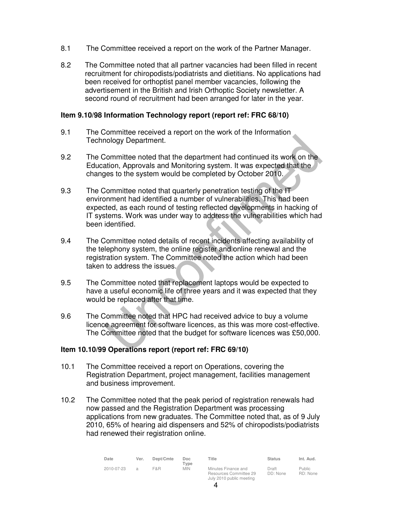- 8.1 The Committee received a report on the work of the Partner Manager.
- 8.2 The Committee noted that all partner vacancies had been filled in recent recruitment for chiropodists/podiatrists and dietitians. No applications had been received for orthoptist panel member vacancies, following the advertisement in the British and Irish Orthoptic Society newsletter. A second round of recruitment had been arranged for later in the year.

#### **Item 9.10/98 Information Technology report (report ref: FRC 68/10)**

- 9.1 The Committee received a report on the work of the Information Technology Department.
- 9.2 The Committee noted that the department had continued its work on the Education, Approvals and Monitoring system. It was expected that the changes to the system would be completed by October 2010.
- 9.3 The Committee noted that quarterly penetration testing of the IT environment had identified a number of vulnerabilities. This had been expected, as each round of testing reflected developments in hacking of IT systems. Work was under way to address the vulnerabilities which had been identified.
- 9.4 The Committee noted details of recent incidents affecting availability of the telephony system, the online register and online renewal and the registration system. The Committee noted the action which had been taken to address the issues.
- 9.5 The Committee noted that replacement laptops would be expected to have a useful economic life of three years and it was expected that they would be replaced after that time.
- 9.6 The Committee noted that HPC had received advice to buy a volume licence agreement for software licences, as this was more cost-effective. The Committee noted that the budget for software licences was £50,000.

#### **Item 10.10/99 Operations report (report ref: FRC 69/10)**

- 10.1 The Committee received a report on Operations, covering the Registration Department, project management, facilities management and business improvement.
- 10.2 The Committee noted that the peak period of registration renewals had now passed and the Registration Department was processing applications from new graduates. The Committee noted that, as of 9 July 2010, 65% of hearing aid dispensers and 52% of chiropodists/podiatrists had renewed their registration online.

| Date       | Ver.          | Dept/Cmte | Doc.<br>Tvpe | Title                                                                     | <b>Status</b>     | Int. Aud.                 |
|------------|---------------|-----------|--------------|---------------------------------------------------------------------------|-------------------|---------------------------|
| 2010-07-23 | $\mathcal{A}$ | F&R       | <b>MIN</b>   | Minutes Finance and<br>Resources Committee 29<br>July 2010 public meeting | Draft<br>DD: None | <b>Public</b><br>RD: None |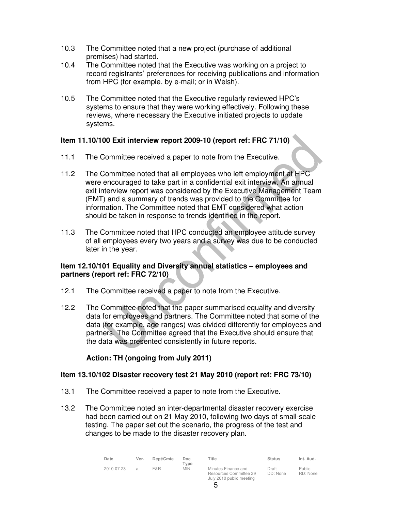- 10.3 The Committee noted that a new project (purchase of additional premises) had started.
- 10.4 The Committee noted that the Executive was working on a project to record registrants' preferences for receiving publications and information from HPC (for example, by e-mail; or in Welsh).
- 10.5 The Committee noted that the Executive regularly reviewed HPC's systems to ensure that they were working effectively. Following these reviews, where necessary the Executive initiated projects to update systems.

# **Item 11.10/100 Exit interview report 2009-10 (report ref: FRC 71/10)**

- 11.1 The Committee received a paper to note from the Executive.
- 11.2 The Committee noted that all employees who left employment at HPC were encouraged to take part in a confidential exit interview. An annual exit interview report was considered by the Executive Management Team (EMT) and a summary of trends was provided to the Committee for information. The Committee noted that EMT considered what action should be taken in response to trends identified in the report.
- 11.3 The Committee noted that HPC conducted an employee attitude survey of all employees every two years and a survey was due to be conducted later in the year.

#### **Item 12.10/101 Equality and Diversity annual statistics – employees and partners (report ref: FRC 72/10)**

- 12.1 The Committee received a paper to note from the Executive.
- 12.2 The Committee noted that the paper summarised equality and diversity data for employees and partners. The Committee noted that some of the data (for example, age ranges) was divided differently for employees and partners. The Committee agreed that the Executive should ensure that the data was presented consistently in future reports.

# **Action: TH (ongoing from July 2011)**

#### **Item 13.10/102 Disaster recovery test 21 May 2010 (report ref: FRC 73/10)**

- 13.1 The Committee received a paper to note from the Executive.
- 13.2 The Committee noted an inter-departmental disaster recovery exercise had been carried out on 21 May 2010, following two days of small-scale testing. The paper set out the scenario, the progress of the test and changes to be made to the disaster recovery plan.

| Date       | Ver. | Dept/Cmte | Doc<br>$T$ ype | Title                                                                     | <b>Status</b>     | Int. Aud.                 |
|------------|------|-----------|----------------|---------------------------------------------------------------------------|-------------------|---------------------------|
| 2010-07-23 |      | F&R       | <b>MIN</b>     | Minutes Finance and<br>Resources Committee 29<br>July 2010 public meeting | Draft<br>DD: None | <b>Public</b><br>RD: None |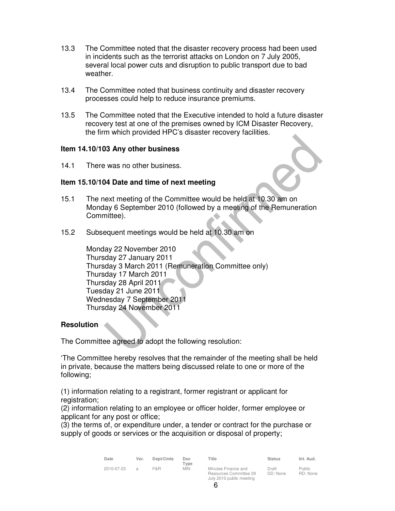- 13.3 The Committee noted that the disaster recovery process had been used in incidents such as the terrorist attacks on London on 7 July 2005, several local power cuts and disruption to public transport due to bad weather.
- 13.4 The Committee noted that business continuity and disaster recovery processes could help to reduce insurance premiums.
- 13.5 The Committee noted that the Executive intended to hold a future disaster recovery test at one of the premises owned by ICM Disaster Recovery, the firm which provided HPC's disaster recovery facilities.

#### **Item 14.10/103 Any other business**

14.1 There was no other business.

#### **Item 15.10/104 Date and time of next meeting**

- 15.1 The next meeting of the Committee would be held at 10.30 am on Monday 6 September 2010 (followed by a meeting of the Remuneration Committee).
- 15.2 Subsequent meetings would be held at 10.30 am on

Monday 22 November 2010 Thursday 27 January 2011 Thursday 3 March 2011 (Remuneration Committee only) Thursday 17 March 2011 Thursday 28 April 2011 Tuesday 21 June 2011 Wednesday 7 September 2011 Thursday 24 November 2011

#### **Resolution**

The Committee agreed to adopt the following resolution:

'The Committee hereby resolves that the remainder of the meeting shall be held in private, because the matters being discussed relate to one or more of the following;

(1) information relating to a registrant, former registrant or applicant for registration;

(2) information relating to an employee or officer holder, former employee or applicant for any post or office;

(3) the terms of, or expenditure under, a tender or contract for the purchase or supply of goods or services or the acquisition or disposal of property;

| Date       | Ver.           | Dept/Cmte | Doc.<br>Tvpe | Title                                                                     | <b>Status</b>     | Int. Aud.                 |
|------------|----------------|-----------|--------------|---------------------------------------------------------------------------|-------------------|---------------------------|
| 2010-07-23 | $\overline{a}$ | F&R       | <b>MIN</b>   | Minutes Finance and<br>Resources Committee 29<br>July 2010 public meeting | Draft<br>DD: None | <b>Public</b><br>RD: None |